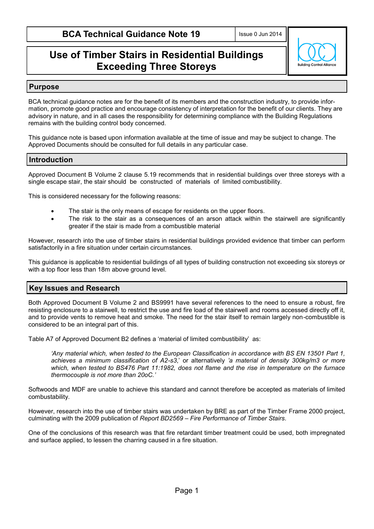# **Use of Timber Stairs in Residential Buildings Exceeding Three Storeys**



#### **Purpose**

BCA technical guidance notes are for the benefit of its members and the construction industry, to provide information, promote good practice and encourage consistency of interpretation for the benefit of our clients. They are advisory in nature, and in all cases the responsibility for determining compliance with the Building Regulations remains with the building control body concerned.

This guidance note is based upon information available at the time of issue and may be subject to change. The Approved Documents should be consulted for full details in any particular case.

### **Introduction**

Approved Document B Volume 2 clause 5.19 recommends that in residential buildings over three storeys with a single escape stair, the stair should be constructed of materials of limited combustibility.

This is considered necessary for the following reasons:

- The stair is the only means of escape for residents on the upper floors.
- The risk to the stair as a consequences of an arson attack within the stairwell are significantly greater if the stair is made from a combustible material

However, research into the use of timber stairs in residential buildings provided evidence that timber can perform satisfactorily in a fire situation under certain circumstances.

This guidance is applicable to residential buildings of all types of building construction not exceeding six storeys or with a top floor less than 18m above ground level.

### **Key Issues and Research**

Both Approved Document B Volume 2 and BS9991 have several references to the need to ensure a robust, fire resisting enclosure to a stairwell, to restrict the use and fire load of the stairwell and rooms accessed directly off it, and to provide vents to remove heat and smoke. The need for the stair itself to remain largely non-combustible is considered to be an integral part of this.

Table A7 of Approved Document B2 defines a 'material of limited combustibility' as:

*'Any material which, when tested to the European Classification in accordance with BS EN 13501 Part 1, achieves a minimum classification of A2-s3*,' or alternatively *'a material of density 300kg/m3 or more which, when tested to BS476 Part 11:1982, does not flame and the rise in temperature on the furnace thermocouple is not more than 20oC.'* 

Softwoods and MDF are unable to achieve this standard and cannot therefore be accepted as materials of limited combustability.

However, research into the use of timber stairs was undertaken by BRE as part of the Timber Frame 2000 project, culminating with the 2009 publication of *Report BD2569 – Fire Performance of Timber Stairs*.

One of the conclusions of this research was that fire retardant timber treatment could be used, both impregnated and surface applied, to lessen the charring caused in a fire situation.